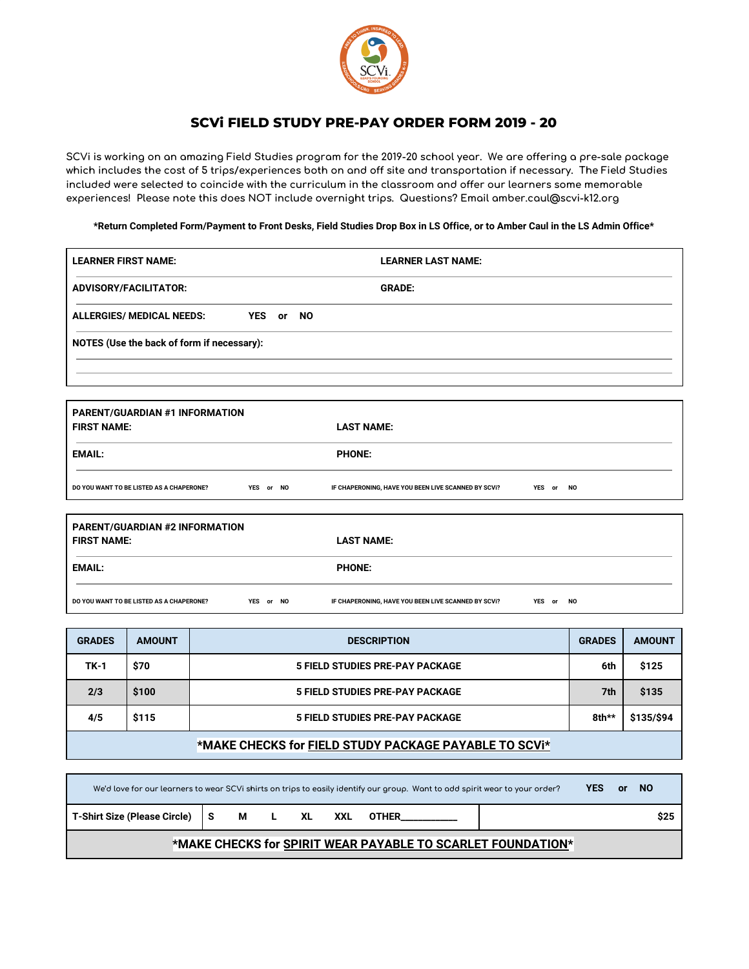

## **SCVi FIELD STUDY PRE-PAY ORDER FORM 2019 - 20**

SCVi is working on an amazing Field Studies program for the 2019-20 school year. We are offering a pre-sale package which includes the cost of 5 trips/experiences both on and off site and transportation if necessary. The Field Studies included were selected to coincide with the curriculum in the classroom and offer our learners some memorable **experiences! Please note this does NOT include overnight trips. Questions? Email [amber.caul@scvi-k12.org](mailto:amber.caul@scvi-k12.org)**

\*Return Completed Form/Payment to Front Desks, Field Studies Drop Box in LS Office, or to Amber Caul in the LS Admin Office\*

| <b>LEARNER FIRST NAME:</b>              |                                                                                                                           |                                            |           |  |           | <b>LEARNER LAST NAME:</b>                           |  |           |               |               |
|-----------------------------------------|---------------------------------------------------------------------------------------------------------------------------|--------------------------------------------|-----------|--|-----------|-----------------------------------------------------|--|-----------|---------------|---------------|
| ADVISORY/FACILITATOR:                   |                                                                                                                           |                                            |           |  |           | <b>GRADE:</b>                                       |  |           |               |               |
|                                         | <b>ALLERGIES/ MEDICAL NEEDS:</b>                                                                                          |                                            | YES or    |  | <b>NO</b> |                                                     |  |           |               |               |
|                                         |                                                                                                                           | NOTES (Use the back of form if necessary): |           |  |           |                                                     |  |           |               |               |
|                                         |                                                                                                                           |                                            |           |  |           |                                                     |  |           |               |               |
|                                         |                                                                                                                           |                                            |           |  |           |                                                     |  |           |               |               |
| <b>FIRST NAME:</b>                      | PARENT/GUARDIAN #1 INFORMATION                                                                                            |                                            |           |  |           | <b>LAST NAME:</b>                                   |  |           |               |               |
| <b>EMAIL:</b>                           |                                                                                                                           |                                            |           |  |           | <b>PHONE:</b>                                       |  |           |               |               |
|                                         | DO YOU WANT TO BE LISTED AS A CHAPERONE?                                                                                  |                                            | YES or NO |  |           | IF CHAPERONING, HAVE YOU BEEN LIVE SCANNED BY SCVI? |  | YES or NO |               |               |
|                                         |                                                                                                                           |                                            |           |  |           |                                                     |  |           |               |               |
| PARENT/GUARDIAN #2 INFORMATION          |                                                                                                                           |                                            |           |  |           |                                                     |  |           |               |               |
| <b>FIRST NAME:</b><br><b>LAST NAME:</b> |                                                                                                                           |                                            |           |  |           |                                                     |  |           |               |               |
| <b>EMAIL:</b><br><b>PHONE:</b>          |                                                                                                                           |                                            |           |  |           |                                                     |  |           |               |               |
|                                         | DO YOU WANT TO BE LISTED AS A CHAPERONE?<br>YES or NO<br>IF CHAPERONING, HAVE YOU BEEN LIVE SCANNED BY SCVI?<br>YES or NO |                                            |           |  |           |                                                     |  |           |               |               |
|                                         |                                                                                                                           |                                            |           |  |           |                                                     |  |           |               |               |
| <b>CDANES</b>                           | <b>AMOUNT</b>                                                                                                             |                                            |           |  |           | <b>DESCRIPTION</b>                                  |  |           | <b>CDANES</b> | <b>AMOUNT</b> |

| <b>GRADES</b> | <b>AMOUNT</b> | <b>DESCRIPTION</b>                     | <b>GRADES</b> | <b>AMOUNT</b> |
|---------------|---------------|----------------------------------------|---------------|---------------|
| <b>TK-1</b>   | \$70          | <b>5 FIELD STUDIES PRE-PAY PACKAGE</b> | 6th           | \$125         |
| 2/3           | \$100         | <b>5 FIELD STUDIES PRE-PAY PACKAGE</b> | 7th           | \$135         |
| 4/5           | \$115         | <b>5 FIELD STUDIES PRE-PAY PACKAGE</b> | $8th**$       | \$135/\$94    |
|               |               |                                        |               |               |

|                                                             |  |  |  |         |  | We'd love for our learners to wear SCVi shirts on trips to easily identify our group. Want to add spirit wear to your order? |  | <b>YES</b> | or . | - NO |
|-------------------------------------------------------------|--|--|--|---------|--|------------------------------------------------------------------------------------------------------------------------------|--|------------|------|------|
| T-Shirt Size (Please Circle) S                              |  |  |  | MLXLXXL |  | OTHER                                                                                                                        |  |            |      | \$25 |
| *MAKE CHECKS for SPIRIT WEAR PAYABLE TO SCARLET FOUNDATION* |  |  |  |         |  |                                                                                                                              |  |            |      |      |